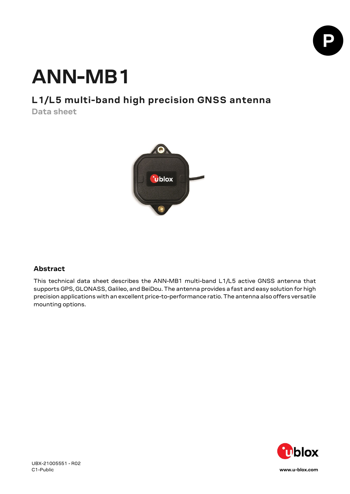

# **ANN-MB1**

## **L1/L5 multi-band high precision GNSS antenna**

**Data sheet**



### **Abstract**

This technical data sheet describes the ANN-MB1 multi-band L1/L5 active GNSS antenna that supports GPS, GLONASS, Galileo, and BeiDou. The antenna provides a fast and easy solution for high precision applications with an excellent price-to-performance ratio. The antenna also offers versatile mounting options.



[www.u-blox.com](http://www.u-blox.com/)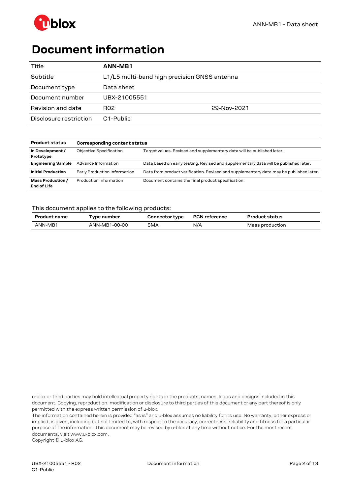

# <span id="page-1-0"></span>**Document information**

| Title                  | ANN-MB1                                      |             |
|------------------------|----------------------------------------------|-------------|
| Subtitle               | L1/L5 multi-band high precision GNSS antenna |             |
| Document type          | Data sheet                                   |             |
| Document number        | UBX-21005551                                 |             |
| Revision and date      | R <sub>02</sub>                              | 29-Nov-2021 |
| Disclosure restriction | C <sub>1</sub> -Public                       |             |

| <b>Product status</b>                   | Corresponding content status   |                                                                                        |  |
|-----------------------------------------|--------------------------------|----------------------------------------------------------------------------------------|--|
| In Development /<br>Prototype           | <b>Objective Specification</b> | Target values. Revised and supplementary data will be published later.                 |  |
| <b>Engineering Sample</b>               | Advance Information            | Data based on early testing. Revised and supplementary data will be published later.   |  |
| <b>Initial Production</b>               | Early Production Information   | Data from product verification. Revised and supplementary data may be published later. |  |
| Mass Production /<br><b>End of Life</b> | Production Information         | Document contains the final product specification.                                     |  |

### This document applies to the following products:

| <b>Product name</b> | vpe number    | <b>Connector type</b> | <b>PCN</b> reference | <b>Product status</b> |
|---------------------|---------------|-----------------------|----------------------|-----------------------|
| ANN-MB1             | ANN-MB1-00-00 | <b>SMA</b>            | N/A                  | Mass production       |

u-blox or third parties may hold intellectual property rights in the products, names, logos and designs included in this document. Copying, reproduction, modification or disclosure to third parties of this document or any part thereof is only permitted with the express written permission of u-blox.

The information contained herein is provided "as is" and u-blox assumes no liability for its use. No warranty, either express or implied, is given, including but not limited to, with respect to the accuracy, correctness, reliability and fitness for a particular purpose of the information. This document may be revised by u-blox at any time without notice. For the most recent documents, visit www.u-blox.com.

Copyright © u-blox AG.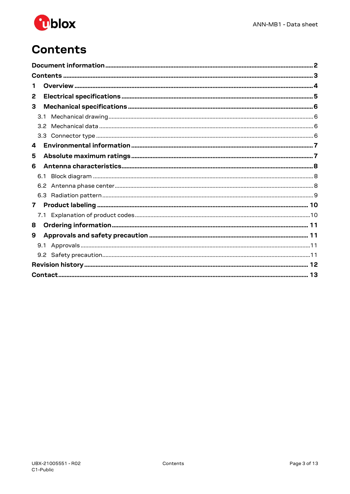

# <span id="page-2-0"></span>**Contents**

| 1            |  |
|--------------|--|
| 2            |  |
| 3            |  |
| 3.1          |  |
| 3.2          |  |
| 3.3          |  |
| 4            |  |
| 5            |  |
| 6            |  |
| 6.1          |  |
|              |  |
|              |  |
| $\mathbf{7}$ |  |
|              |  |
| 8            |  |
| 9            |  |
|              |  |
|              |  |
|              |  |
|              |  |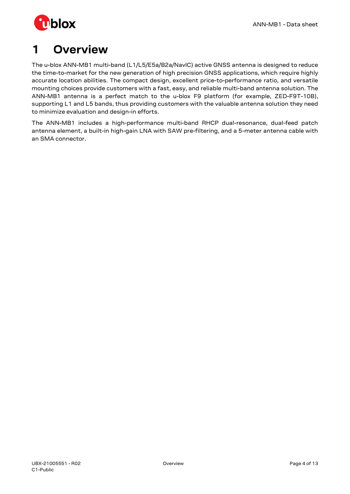

# <span id="page-3-0"></span>**1 Overview**

The u-blox ANN-MB1 multi-band (L1/L5/E5a/B2a/NavIC) active GNSS antenna is designed to reduce the time-to-market for the new generation of high precision GNSS applications, which require highly accurate location abilities. The compact design, excellent price-to-performance ratio, and versatile mounting choices provide customers with a fast, easy, and reliable multi-band antenna solution. The ANN-MB1 antenna is a perfect match to the u-blox F9 platform (for example, ZED-F9T-10B), supporting L1 and L5 bands, thus providing customers with the valuable antenna solution they need to minimize evaluation and design-in efforts.

The ANN-MB1 includes a high-performance multi-band RHCP dual-resonance, dual-feed patch antenna element, a built-in high-gain LNA with SAW pre-filtering, and a 5-meter antenna cable with an SMA connector.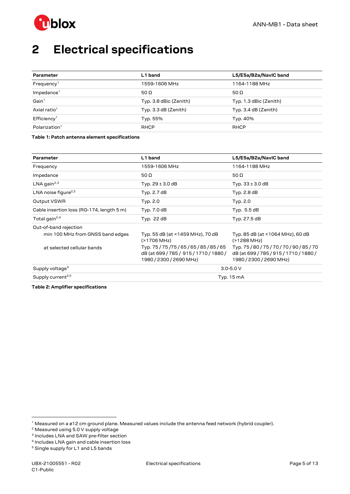

# <span id="page-4-0"></span>**2 Electrical specifications**

| Parameter                 | L1 band                | L5/E5a/B2a/NavIC band  |
|---------------------------|------------------------|------------------------|
| Frequency <sup>1</sup>    | 1559-1606 MHz          | 1164-1188 MHz          |
| $Im$ pedance <sup>1</sup> | 50 $\Omega$            | 50 $\Omega$            |
| Gain <sup>1</sup>         | Typ. 3.8 dBic (Zenith) | Typ. 1.3 dBic (Zenith) |
| Axial ratio <sup>1</sup>  | Typ. 3.3 dB (Zenith)   | Typ. 3.4 dB (Zenith)   |
| Efficiency <sup>1</sup>   | Typ. 55%               | Typ. 40%               |
| Polarization <sup>1</sup> | <b>RHCP</b>            | <b>RHCP</b>            |

<span id="page-4-6"></span>**Table 1: Patch antenna element specifications**

| Parameter                                 | L1 band                                                                                           | L5/E5a/B2a/NavIC band                                                                             |
|-------------------------------------------|---------------------------------------------------------------------------------------------------|---------------------------------------------------------------------------------------------------|
| Frequency                                 | 1559-1606 MHz                                                                                     | 1164-1188 MHz                                                                                     |
| Impedance                                 | 50 $\Omega$                                                                                       | 50 $\Omega$                                                                                       |
| LNA gain <sup>2,3</sup>                   | Typ. $29 \pm 3.0$ dB                                                                              | Typ. $33 \pm 3.0$ dB                                                                              |
| LNA noise figure <sup>2,3</sup>           | Typ. 2.7 dB                                                                                       | Typ. 2.8 dB                                                                                       |
| Output VSWR                               | Typ. 2.0                                                                                          | Typ. 2.0                                                                                          |
| Cable insertion loss (RG-174, length 5 m) | Typ. 7.0 dB                                                                                       | Typ. 5.5 dB                                                                                       |
| Total gain <sup>2,4</sup>                 | Typ. 22 dB                                                                                        | Typ. 27.5 dB                                                                                      |
| Out-of-band rejection                     |                                                                                                   |                                                                                                   |
| min 100 MHz from GNSS band edges          | Typ. 55 dB (at <1459 MHz), 70 dB<br>(>1706 MHz)                                                   | Typ. 85 dB (at <1064 MHz), 60 dB<br>(>1288 MHz)                                                   |
| at selected cellular bands                | Typ. 75/75/75/65/65/85/85/65<br>dB (at 699 / 785 / 915 / 1710 / 1880 /<br>1980 / 2300 / 2690 MHz) | Typ. 75/80/75/70/70/90/85/70<br>dB (at 699 / 785 / 915 / 1710 / 1880 /<br>1980 / 2300 / 2690 MHz) |
| Supply voltage <sup>5</sup>               |                                                                                                   | $3.0 - 5.0 V$                                                                                     |
| Supply current <sup>2,5</sup>             |                                                                                                   | Typ. 15 mA                                                                                        |

<span id="page-4-7"></span>**Table 2: Amplifier specifications**

<span id="page-4-1"></span> $1$  Measured on a ø12 cm ground plane. Measured values include the antenna feed network (hybrid coupler).

<span id="page-4-2"></span> $2$  Measured using 5.0 V supply voltage

<span id="page-4-3"></span><sup>3</sup> Includes LNA and SAW pre-filter section

<span id="page-4-4"></span><sup>4</sup> Includes LNA gain and cable insertion loss

<span id="page-4-5"></span><sup>5</sup> Single supply for L1 and L5 bands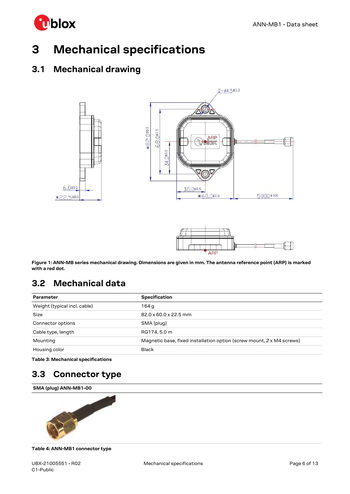

# <span id="page-5-0"></span>**3 Mechanical specifications**

## <span id="page-5-1"></span>**3.1 Mechanical drawing**





<span id="page-5-4"></span>**Figure 1: ANN-MB series mechanical drawing. Dimensions are given in mm. The antenna reference point (ARP) is marked with a red dot.** 

## <span id="page-5-2"></span>**3.2 Mechanical data**

| <b>Specification</b>                                                  |
|-----------------------------------------------------------------------|
| 164 a                                                                 |
| 82.0 x 60.0 x 22.5 mm                                                 |
| SMA (plug)                                                            |
| RG174, 5.0 m                                                          |
| Magnetic base, fixed installation option (screw mount, 2 x M4 screws) |
| <b>Black</b>                                                          |
|                                                                       |

**Table 3: Mechanical specifications**

## <span id="page-5-3"></span>**3.3 Connector type**





**Table 4: ANN-MB1 connector type**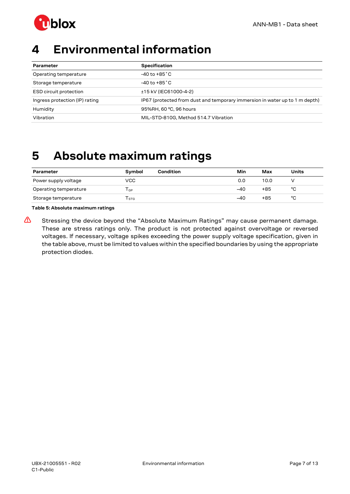

# <span id="page-6-0"></span>**4 Environmental information**

| Parameter                      | <b>Specification</b>                                                        |
|--------------------------------|-----------------------------------------------------------------------------|
| Operating temperature          | $-40$ to $+85\degree$ C                                                     |
| Storage temperature            | $-40$ to $+85\degree$ C                                                     |
| ESD circuit protection         | ±15 kV (IEC61000-4-2)                                                       |
| Ingress protection (IP) rating | IP67 (protected from dust and temporary immersion in water up to 1 m depth) |
| Humidity                       | 95%RH, 60 °C, 96 hours                                                      |
| Vibration                      | MIL-STD-810G, Method 514.7 Vibration                                        |

# <span id="page-6-1"></span>**5 Absolute maximum ratings**

| Parameter             | <b>Symbol</b> | Condition | Min   | Max  | Units |
|-----------------------|---------------|-----------|-------|------|-------|
| Power supply voltage  | VCC.          |           | 0.0   | 10.0 |       |
| Operating temperature | l GP          |           | $-40$ | +85  | °C    |
| Storage temperature   | l stg         |           | -40   | +85  | °C    |

**Table 5: Absolute maximum ratings**

**⚠** Stressing the device beyond the "Absolute Maximum Ratings" may cause permanent damage. These are stress ratings only. The product is not protected against overvoltage or reversed voltages. If necessary, voltage spikes exceeding the power supply voltage specification, given in the table above, must be limited to values within the specified boundaries by using the appropriate protection diodes.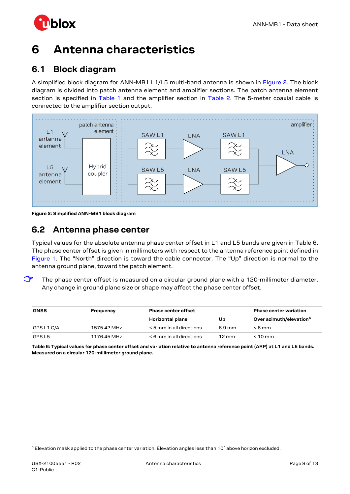

# <span id="page-7-0"></span>**6 Antenna characteristics**

## <span id="page-7-1"></span>**6.1 Block diagram**

A simplified block diagram for ANN-MB1 L1/L5 multi-band antenna is shown in [Figure 2.](#page-7-3) The block diagram is divided into patch antenna element and amplifier sections. The patch antenna element section is specified in [Table 1](#page-4-6) and the amplifier section in [Table 2.](#page-4-7) The 5-meter coaxial cable is connected to the amplifier section output.



<span id="page-7-3"></span>**Figure 2: Simplified ANN-MB1 block diagram**

## <span id="page-7-2"></span>**6.2 Antenna phase center**

Typical values for the absolute antenna phase center offset in L1 and L5 bands are given in [Table 6.](#page-7-4) The phase center offset is given in millimeters with respect to the antenna reference point defined in [Figure 1.](#page-5-4) The "North" direction is toward the cable connector. The "Up" direction is normal to the antenna ground plane, toward the patch element.

The phase center offset is measured on a circular ground plane with a 120-millimeter diameter. Any change in ground plane size or shape may affect the phase center offset.

| <b>GNSS</b> | Frequency   | <b>Phase center offset</b>    |                  | <b>Phase center variation</b>       |
|-------------|-------------|-------------------------------|------------------|-------------------------------------|
|             |             | Horizontal plane              | Up               | Over azimuth/elevation <sup>6</sup> |
| GPS L1 C/A  | 1575.42 MHz | < 5 mm in all directions      | $6.9 \text{ mm}$ | $<6$ mm                             |
| GPS L5      | 1176.45 MHz | $\leq 6$ mm in all directions | 12 mm            | $< 10$ mm                           |

<span id="page-7-4"></span>**Table 6: Typical values for phase center offset and variation relative to antenna reference point (ARP) at L1 and L5 bands. Measured on a circular 120-millimeter ground plane.**

<span id="page-7-5"></span><sup>6</sup> Elevation mask applied to the phase center variation. Elevation angles less than 10˚above horizon excluded.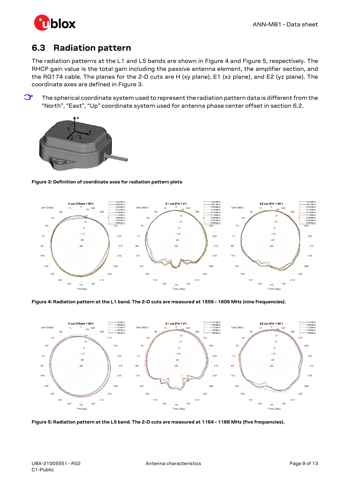

## <span id="page-8-0"></span>**6.3 Radiation pattern**

The radiation patterns at the L1 and L5 bands are shown in [Figure 4](#page-8-1) and [Figure 5,](#page-8-2) respectively. The RHCP gain value is the total gain including the passive antenna element, the amplifier section, and the RG174 cable. The planes for the 2-D cuts are H (xy plane), E1 (xz plane), and E2 (yz plane). The coordinate axes are defined in [Figure 3.](#page-8-3)

**☞** The spherical coordinate system used to represent the radiation pattern data is different from the "North", "East", "Up" coordinate system used for antenna phase center offset in sectio[n 6.2.](#page-7-2)



### <span id="page-8-3"></span>**Figure 3: Definition of coordinate axes for radiation pattern plots**



### <span id="page-8-1"></span>**Figure 4: Radiation pattern at the L1 band. The 2-D cuts are measured at 1559 - 1606 MHz (nine frequencies).**



<span id="page-8-2"></span>**Figure 5: Radiation pattern at the L5 band. The 2-D cuts are measured at 1164 - 1188 MHz (five frequencies).**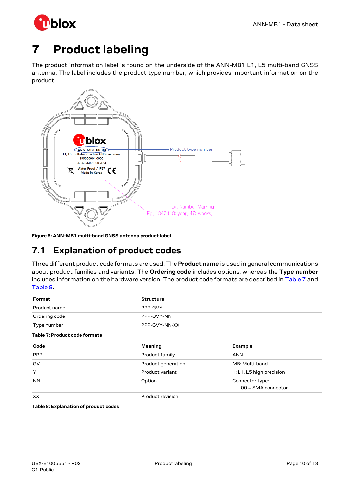

# <span id="page-9-0"></span>**7 Product labeling**

The product information label is found on the underside of the ANN-MB1 L1, L5 multi-band GNSS antenna. The label includes the product type number, which provides important information on the product.



**Figure 6: ANN-MB1 multi-band GNSS antenna product label**

## <span id="page-9-1"></span>**7.1 Explanation of product codes**

Three different product code formats are used. The **Product name** is used in general communications about product families and variants. The **Ordering code** includes options, whereas the **Type number** includes information on the hardware version. The product code formats are described in [Table 7](#page-9-2) and [Table 8.](#page-9-3)

<span id="page-9-2"></span>

| Format                        | <b>Structure</b>   |                          |  |
|-------------------------------|--------------------|--------------------------|--|
| Product name                  | PPP-GVY            |                          |  |
| Ordering code                 | PPP-GVY-NN         |                          |  |
| Type number                   | PPP-GVY-NN-XX      |                          |  |
| Table 7: Product code formats |                    |                          |  |
| Code                          | Meaning            | <b>Example</b>           |  |
| <b>PPP</b>                    | Product family     | <b>ANN</b>               |  |
| GV                            | Product generation | MB: Multi-band           |  |
| Y                             | Product variant    | 1: L1, L5 high precision |  |
| <b>NN</b>                     | Option             | Connector type:          |  |
|                               |                    | 00 = SMA connector       |  |
| XX                            | Product revision   |                          |  |

<span id="page-9-3"></span>**Table 8: Explanation of product codes**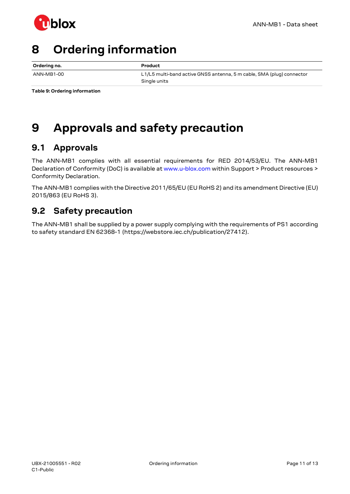

# <span id="page-10-0"></span>**8 Ordering information**

| Ordering no. | Product                                                                               |
|--------------|---------------------------------------------------------------------------------------|
| ANN-MB1-00   | L1/L5 multi-band active GNSS antenna, 5 m cable, SMA (plug) connector<br>Single units |

<span id="page-10-1"></span>**Table 9: Ordering information**

# <span id="page-10-4"></span>**9 Approvals and safety precaution**

## <span id="page-10-2"></span>**9.1 Approvals**

The ANN-MB1 complies with all essential requirements for RED 2014/53/EU. The ANN-MB1 Declaration of Conformity (DoC) is available at www.u-blox.com within Support > Product resources > Conformity Declaration.

The ANN-MB1 complies with the Directive 2011/65/EU (EU RoHS 2) and its amendment Directive (EU) 2015/863 (EU RoHS 3).

## <span id="page-10-3"></span>**9.2 Safety precaution**

The ANN-MB1 shall be supplied by a power supply complying with the requirements of PS1 according to safety standard EN 62368-1 (https://webstore.iec.ch/publication/27412).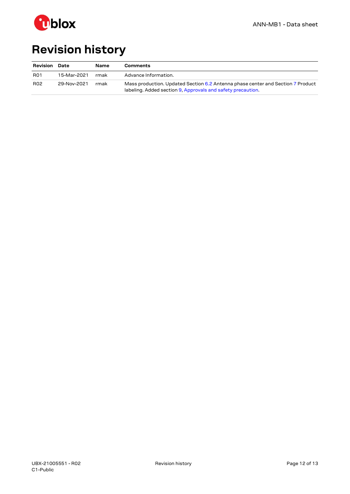

# <span id="page-11-0"></span>**Revision history**

| <b>Revision</b> | Date        | Name | Comments                                                                                                                                       |
|-----------------|-------------|------|------------------------------------------------------------------------------------------------------------------------------------------------|
| <b>R01</b>      | 15-Mar-2021 | rmak | Advance Information.                                                                                                                           |
| <b>R02</b>      | 29-Nov-2021 | rmak | Mass production. Updated Section 6.2 Antenna phase center and Section 7 Product<br>labeling. Added section 9, Approvals and safety precaution. |